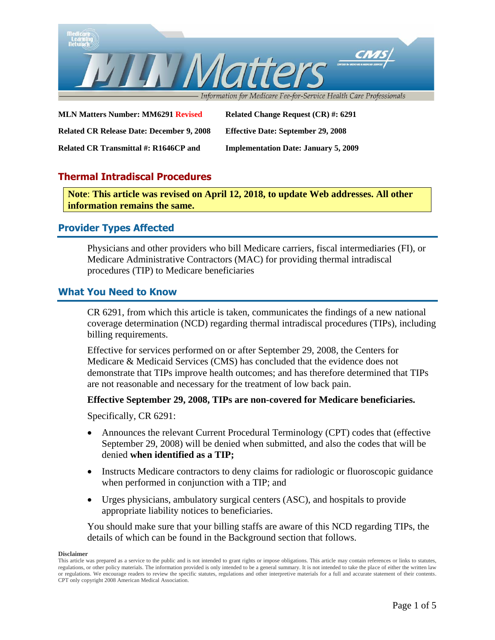

**MLN Matters Number: MM6291 Revised Related Change Request (CR) #: 6291 Related CR Release Date: December 9, 2008 Effective Date: September 29, 2008 Related CR Transmittal #: R1646CP and Implementation Date: January 5, 2009**

# **Thermal Intradiscal Procedures**

**Note**: **This article was revised on April 12, 2018, to update Web addresses. All other information remains the same.**

# **Provider Types Affected**

Physicians and other providers who bill Medicare carriers, fiscal intermediaries (FI), or Medicare Administrative Contractors (MAC) for providing thermal intradiscal procedures (TIP) to Medicare beneficiaries

# **What You Need to Know**

CR 6291, from which this article is taken, communicates the findings of a new national coverage determination (NCD) regarding thermal intradiscal procedures (TIPs), including billing requirements.

Effective for services performed on or after September 29, 2008, the Centers for Medicare & Medicaid Services (CMS) has concluded that the evidence does not demonstrate that TIPs improve health outcomes; and has therefore determined that TIPs are not reasonable and necessary for the treatment of low back pain.

### **Effective September 29, 2008, TIPs are non-covered for Medicare beneficiaries.**

Specifically, CR 6291:

- Announces the relevant Current Procedural Terminology (CPT) codes that (effective September 29, 2008) will be denied when submitted, and also the codes that will be denied **when identified as a TIP;**
- Instructs Medicare contractors to deny claims for radiologic or fluoroscopic guidance when performed in conjunction with a TIP; and
- Urges physicians, ambulatory surgical centers (ASC), and hospitals to provide appropriate liability notices to beneficiaries.

You should make sure that your billing staffs are aware of this NCD regarding TIPs, the details of which can be found in the Background section that follows.

This article was prepared as a service to the public and is not intended to grant rights or impose obligations. This article may contain references or links to statutes, regulations, or other policy materials. The information provided is only intended to be a general summary. It is not intended to take the place of either the written law or regulations. We encourage readers to review the specific statutes, regulations and other interpretive materials for a full and accurate statement of their contents. CPT only copyright 2008 American Medical Association.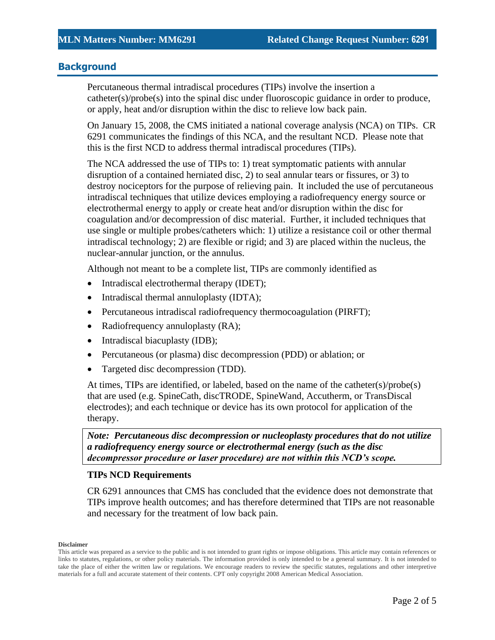# **Background**

Percutaneous thermal intradiscal procedures (TIPs) involve the insertion a catheter(s)/probe(s) into the spinal disc under fluoroscopic guidance in order to produce, or apply, heat and/or disruption within the disc to relieve low back pain.

On January 15, 2008, the CMS initiated a national coverage analysis (NCA) on TIPs. CR 6291 communicates the findings of this NCA, and the resultant NCD. Please note that this is the first NCD to address thermal intradiscal procedures (TIPs).

The NCA addressed the use of TIPs to: 1) treat symptomatic patients with annular disruption of a contained herniated disc, 2) to seal annular tears or fissures, or 3) to destroy nociceptors for the purpose of relieving pain. It included the use of percutaneous intradiscal techniques that utilize devices employing a radiofrequency energy source or electrothermal energy to apply or create heat and/or disruption within the disc for coagulation and/or decompression of disc material. Further, it included techniques that use single or multiple probes/catheters which: 1) utilize a resistance coil or other thermal intradiscal technology; 2) are flexible or rigid; and 3) are placed within the nucleus, the nuclear-annular junction, or the annulus.

Although not meant to be a complete list, TIPs are commonly identified as

- Intradiscal electrothermal therapy (IDET);
- Intradiscal thermal annuloplasty (IDTA);
- Percutaneous intradiscal radiofrequency thermocoagulation (PIRFT);
- Radiofrequency annuloplasty (RA);
- Intradiscal biacuplasty (IDB);
- Percutaneous (or plasma) disc decompression (PDD) or ablation; or
- Targeted disc decompression (TDD).

At times, TIPs are identified, or labeled, based on the name of the catheter(s)/probe(s) that are used (e.g. SpineCath, discTRODE, SpineWand, Accutherm, or TransDiscal electrodes); and each technique or device has its own protocol for application of the therapy.

*Note: Percutaneous disc decompression or nucleoplasty procedures that do not utilize a radiofrequency energy source or electrothermal energy (such as the disc decompressor procedure or laser procedure) are not within this NCD's scope.*

### **TIPs NCD Requirements**

CR 6291 announces that CMS has concluded that the evidence does not demonstrate that TIPs improve health outcomes; and has therefore determined that TIPs are not reasonable and necessary for the treatment of low back pain.

This article was prepared as a service to the public and is not intended to grant rights or impose obligations. This article may contain references or links to statutes, regulations, or other policy materials. The information provided is only intended to be a general summary. It is not intended to take the place of either the written law or regulations. We encourage readers to review the specific statutes, regulations and other interpretive materials for a full and accurate statement of their contents. CPT only copyright 2008 American Medical Association.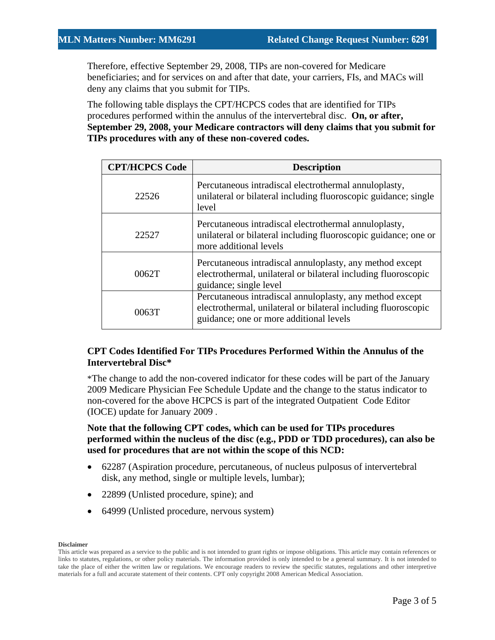Therefore, effective September 29, 2008, TIPs are non-covered for Medicare beneficiaries; and for services on and after that date, your carriers, FIs, and MACs will deny any claims that you submit for TIPs.

The following table displays the CPT/HCPCS codes that are identified for TIPs procedures performed within the annulus of the intervertebral disc. **On, or after, September 29, 2008, your Medicare contractors will deny claims that you submit for TIPs procedures with any of these non-covered codes.**

| <b>CPT/HCPCS Code</b> | <b>Description</b>                                                                                                                                                    |
|-----------------------|-----------------------------------------------------------------------------------------------------------------------------------------------------------------------|
| 22526                 | Percutaneous intradiscal electrothermal annuloplasty,<br>unilateral or bilateral including fluoroscopic guidance; single<br>level                                     |
| 22527                 | Percutaneous intradiscal electrothermal annuloplasty,<br>unilateral or bilateral including fluoroscopic guidance; one or<br>more additional levels                    |
| 0062T                 | Percutaneous intradiscal annuloplasty, any method except<br>electrothermal, unilateral or bilateral including fluoroscopic<br>guidance; single level                  |
| 00637                 | Percutaneous intradiscal annuloplasty, any method except<br>electrothermal, unilateral or bilateral including fluoroscopic<br>guidance; one or more additional levels |

### **CPT Codes Identified For TIPs Procedures Performed Within the Annulus of the Intervertebral Disc\***

\*The change to add the non-covered indicator for these codes will be part of the January 2009 Medicare Physician Fee Schedule Update and the change to the status indicator to non-covered for the above HCPCS is part of the integrated Outpatient Code Editor (IOCE) update for January 2009 .

# **Note that the following CPT codes, which can be used for TIPs procedures performed within the nucleus of the disc (e.g., PDD or TDD procedures), can also be used for procedures that are not within the scope of this NCD:**

- 62287 (Aspiration procedure, percutaneous, of nucleus pulposus of intervertebral disk, any method, single or multiple levels, lumbar);
- 22899 (Unlisted procedure, spine); and
- 64999 (Unlisted procedure, nervous system)

This article was prepared as a service to the public and is not intended to grant rights or impose obligations. This article may contain references or links to statutes, regulations, or other policy materials. The information provided is only intended to be a general summary. It is not intended to take the place of either the written law or regulations. We encourage readers to review the specific statutes, regulations and other interpretive materials for a full and accurate statement of their contents. CPT only copyright 2008 American Medical Association.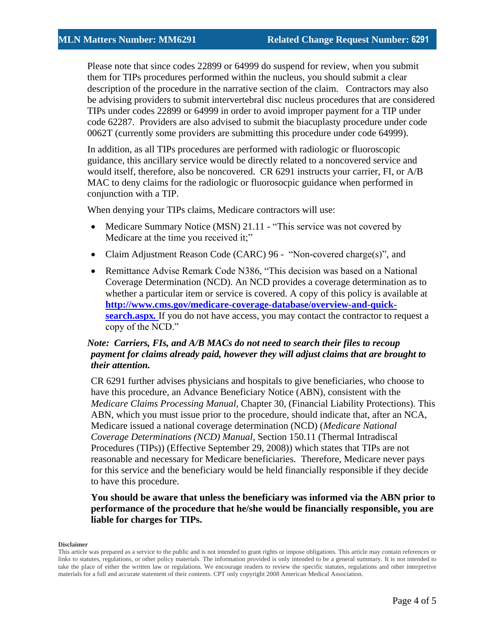Please note that since codes 22899 or 64999 do suspend for review, when you submit them for TIPs procedures performed within the nucleus, you should submit a clear description of the procedure in the narrative section of the claim. Contractors may also be advising providers to submit intervertebral disc nucleus procedures that are considered TIPs under codes 22899 or 64999 in order to avoid improper payment for a TIP under code 62287. Providers are also advised to submit the biacuplasty procedure under code 0062T (currently some providers are submitting this procedure under code 64999).

In addition, as all TIPs procedures are performed with radiologic or fluoroscopic guidance, this ancillary service would be directly related to a noncovered service and would itself, therefore, also be noncovered. CR 6291 instructs your carrier, FI, or A/B MAC to deny claims for the radiologic or fluorosocpic guidance when performed in conjunction with a TIP.

When denying your TIPs claims, Medicare contractors will use:

- Medicare Summary Notice (MSN) 21.11 "This service was not covered by Medicare at the time you received it;"
- Claim Adjustment Reason Code (CARC) 96 "Non-covered charge(s)", and
- Remittance Advise Remark Code N386, "This decision was based on a National Coverage Determination (NCD). An NCD provides a coverage determination as to whether a particular item or service is covered. A copy of this policy is available at **[http://www.cms.gov/medicare-coverage-database/overview-and-quick](http://www.cms.gov/medicare-coverage-database/overview-and-quick-search.aspx)[search.aspx](http://www.cms.gov/medicare-coverage-database/overview-and-quick-search.aspx).** If you do not have access, you may contact the contractor to request a copy of the NCD."

# *Note: Carriers, FIs, and A/B MACs do not need to search their files to recoup payment for claims already paid, however they will adjust claims that are brought to their attention.*

CR 6291 further advises physicians and hospitals to give beneficiaries, who choose to have this procedure, an Advance Beneficiary Notice (ABN), consistent with the *Medicare Claims Processing Manual,* Chapter 30, (Financial Liability Protections). This ABN, which you must issue prior to the procedure, should indicate that, after an NCA, Medicare issued a national coverage determination (NCD) (*Medicare National Coverage Determinations (NCD) Manual,* Section 150.11 (Thermal Intradiscal Procedures (TIPs)) (Effective September 29, 2008)) which states that TIPs are not reasonable and necessary for Medicare beneficiaries. Therefore, Medicare never pays for this service and the beneficiary would be held financially responsible if they decide to have this procedure.

# **You should be aware that unless the beneficiary was informed via the ABN prior to performance of the procedure that he/she would be financially responsible, you are liable for charges for TIPs.**

This article was prepared as a service to the public and is not intended to grant rights or impose obligations. This article may contain references or links to statutes, regulations, or other policy materials. The information provided is only intended to be a general summary. It is not intended to take the place of either the written law or regulations. We encourage readers to review the specific statutes, regulations and other interpretive materials for a full and accurate statement of their contents. CPT only copyright 2008 American Medical Association.